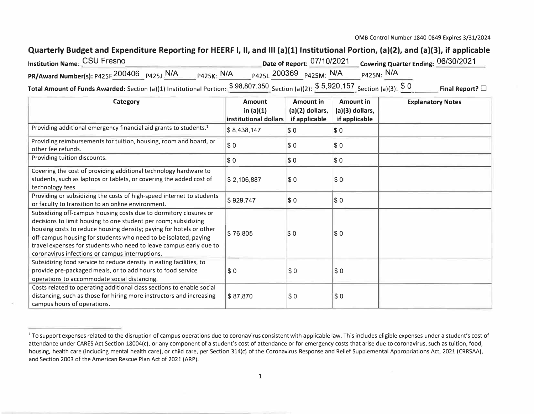## **Quarterly Budget and Expenditure Reporting for HEERF I, II, and Ill (a)(l) Institutional Portion, (a)(2), and (a)(3), if applicable**

| <b>Institution Name: CSU Fresno</b>        |                                                           |              | Date of Report: 07/10/2021 Covering Quarter Ending: 06/30/2021 |
|--------------------------------------------|-----------------------------------------------------------|--------------|----------------------------------------------------------------|
| PR/Award Number(s): P425F 200406 P425J N/A | $N_A$ $_{P425K}$ : N/A $_{P425L}$ 200369 $_{P425M}$ : N/A |              | P425N: N/A                                                     |
|                                            | $C$ 00 007 250                                            | C E O 20 157 |                                                                |

Total Amount of Funds Awarded: Section (a)(1) Institutional Portion: \$ 98,807,350 Section (a)(2): \$ 5,920,157 Section (a)(3): \$ <sup>0</sup> Final Report? □ , ,

| Category                                                                                                                                                                                                                                                                                                                                                                                                | <b>Amount</b>                        | <b>Amount in</b>                 | <b>Amount in</b>                 | <b>Explanatory Notes</b> |
|---------------------------------------------------------------------------------------------------------------------------------------------------------------------------------------------------------------------------------------------------------------------------------------------------------------------------------------------------------------------------------------------------------|--------------------------------------|----------------------------------|----------------------------------|--------------------------|
|                                                                                                                                                                                                                                                                                                                                                                                                         | in $(a)(1)$<br>institutional dollars | (a)(2) dollars,<br>if applicable | (a)(3) dollars,<br>if applicable |                          |
| Providing additional emergency financial aid grants to students. <sup>1</sup>                                                                                                                                                                                                                                                                                                                           | \$8,438,147                          | \$0                              | \$0                              |                          |
| Providing reimbursements for tuition, housing, room and board, or<br>other fee refunds.                                                                                                                                                                                                                                                                                                                 | \$0                                  | \$0                              | \$0                              |                          |
| Providing tuition discounts.                                                                                                                                                                                                                                                                                                                                                                            | \$0                                  | $\sqrt{50}$                      | \$0                              |                          |
| Covering the cost of providing additional technology hardware to<br>students, such as laptops or tablets, or covering the added cost of<br>technology fees.                                                                                                                                                                                                                                             | \$2,106,887                          | $\sqrt{50}$                      | \$0                              |                          |
| Providing or subsidizing the costs of high-speed internet to students<br>or faculty to transition to an online environment.                                                                                                                                                                                                                                                                             | \$929,747                            | $\sqrt{50}$                      | \$0                              |                          |
| Subsidizing off-campus housing costs due to dormitory closures or<br>decisions to limit housing to one student per room; subsidizing<br>housing costs to reduce housing density; paying for hotels or other<br>off-campus housing for students who need to be isolated; paying<br>travel expenses for students who need to leave campus early due to<br>coronavirus infections or campus interruptions. | \$76,805                             | $ \$0$                           | \$0                              |                          |
| Subsidizing food service to reduce density in eating facilities, to<br>provide pre-packaged meals, or to add hours to food service<br>operations to accommodate social distancing.                                                                                                                                                                                                                      | \$0                                  | \$0                              | \$0                              |                          |
| Costs related to operating additional class sections to enable social<br>distancing, such as those for hiring more instructors and increasing<br>campus hours of operations.                                                                                                                                                                                                                            | \$87,870                             | \$0                              | $\sqrt{50}$                      |                          |

<sup>&</sup>lt;sup>1</sup> To support expenses related to the disruption of campus operations due to coronavirus consistent with applicable law. This includes eligible expenses under a student's cost of attendance under CARES Act Section 18004(c), or any component of a student's cost of attendance or for emergency costs that arise due to coronavirus, such as tuition, food, housing, health care (including mental health care), or child care, per Section 314(c) of the Coronavirus Response and Relief Supplemental Appropriations Act, 2021 (CRRSAA), and Section 2003 of the American Rescue Plan Act of 2021 (ARP).